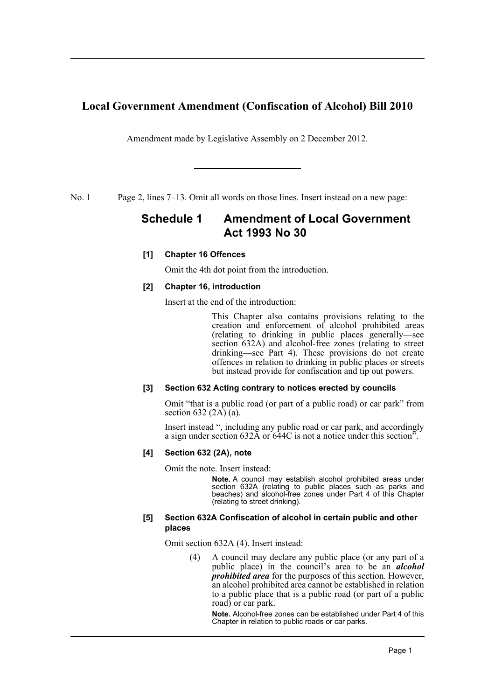# **Local Government Amendment (Confiscation of Alcohol) Bill 2010**

Amendment made by Legislative Assembly on 2 December 2012.

No. 1 Page 2, lines 7–13. Omit all words on those lines. Insert instead on a new page:

# **Schedule 1 Amendment of Local Government Act 1993 No 30**

## **[1] Chapter 16 Offences**

Omit the 4th dot point from the introduction.

## **[2] Chapter 16, introduction**

Insert at the end of the introduction:

This Chapter also contains provisions relating to the creation and enforcement of alcohol prohibited areas (relating to drinking in public places generally—see section 632A) and alcohol-free zones (relating to street drinking—see Part 4). These provisions do not create offences in relation to drinking in public places or streets but instead provide for confiscation and tip out powers.

## **[3] Section 632 Acting contrary to notices erected by councils**

Omit "that is a public road (or part of a public road) or car park" from section 632  $(2\overline{A})$  (a).

Insert instead ", including any public road or car park, and accordingly a sign under section 632A or 644C is not a notice under this section".

## **[4] Section 632 (2A), note**

Omit the note. Insert instead:

**Note.** A council may establish alcohol prohibited areas under section 632A (relating to public places such as parks and beaches) and alcohol-free zones under Part 4 of this Chapter (relating to street drinking).

#### **[5] Section 632A Confiscation of alcohol in certain public and other places**

Omit section 632A (4). Insert instead:

(4) A council may declare any public place (or any part of a public place) in the council's area to be an *alcohol prohibited area* for the purposes of this section. However, an alcohol prohibited area cannot be established in relation to a public place that is a public road (or part of a public road) or car park.

**Note.** Alcohol-free zones can be established under Part 4 of this Chapter in relation to public roads or car parks.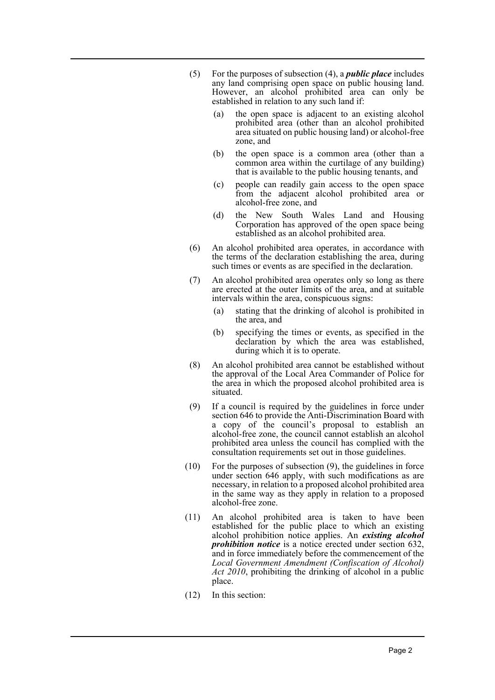- (5) For the purposes of subsection (4), a *public place* includes any land comprising open space on public housing land. However, an alcohol prohibited area can only be established in relation to any such land if:
	- (a) the open space is adjacent to an existing alcohol prohibited area (other than an alcohol prohibited area situated on public housing land) or alcohol-free zone, and
	- (b) the open space is a common area (other than a common area within the curtilage of any building) that is available to the public housing tenants, and
	- (c) people can readily gain access to the open space from the adjacent alcohol prohibited area or alcohol-free zone, and
	- (d) the New South Wales Land and Housing Corporation has approved of the open space being established as an alcohol prohibited area.
- (6) An alcohol prohibited area operates, in accordance with the terms of the declaration establishing the area, during such times or events as are specified in the declaration.
- (7) An alcohol prohibited area operates only so long as there are erected at the outer limits of the area, and at suitable intervals within the area, conspicuous signs:
	- (a) stating that the drinking of alcohol is prohibited in the area, and
	- (b) specifying the times or events, as specified in the declaration by which the area was established, during which it is to operate.
- (8) An alcohol prohibited area cannot be established without the approval of the Local Area Commander of Police for the area in which the proposed alcohol prohibited area is situated.
- (9) If a council is required by the guidelines in force under section 646 to provide the Anti-Discrimination Board with a copy of the council's proposal to establish an alcohol-free zone, the council cannot establish an alcohol prohibited area unless the council has complied with the consultation requirements set out in those guidelines.
- (10) For the purposes of subsection (9), the guidelines in force under section 646 apply, with such modifications as are necessary, in relation to a proposed alcohol prohibited area in the same way as they apply in relation to a proposed alcohol-free zone.
- (11) An alcohol prohibited area is taken to have been established for the public place to which an existing alcohol prohibition notice applies. An *existing alcohol prohibition notice* is a notice erected under section 632, and in force immediately before the commencement of the *Local Government Amendment (Confiscation of Alcohol) Act 2010*, prohibiting the drinking of alcohol in a public place.
- (12) In this section: